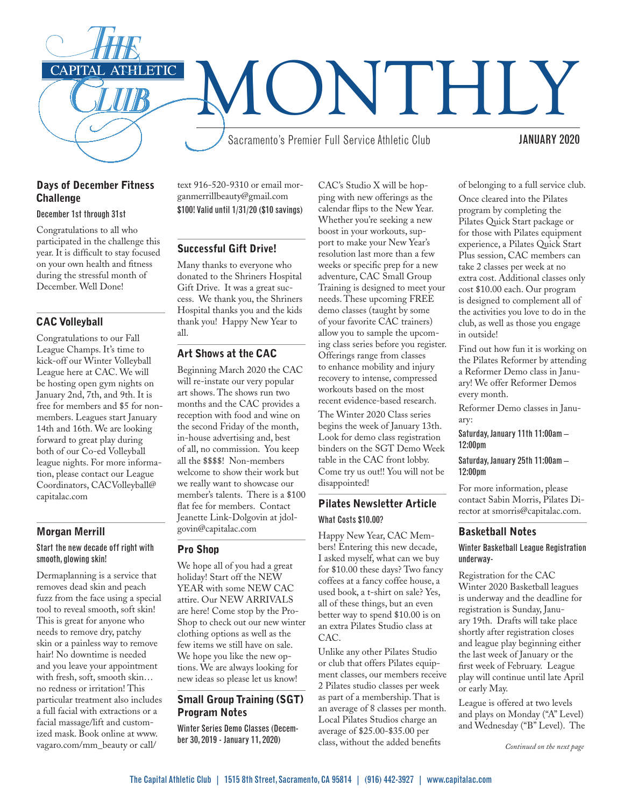

## Days of December Fitness **Challenge**

#### December 1st through 31st

Congratulations to all who participated in the challenge this year. It is difficult to stay focused on your own health and fitness during the stressful month of December. Well Done!

## CAC Volleyball

Congratulations to our Fall League Champs. It's time to kick-off our Winter Volleyball League here at CAC. We will be hosting open gym nights on January 2nd, 7th, and 9th. It is free for members and \$5 for nonmembers. Leagues start January 14th and 16th. We are looking forward to great play during both of our Co-ed Volleyball league nights. For more information, please contact our League Coordinators, CACVolleyball@ capitalac.com

## Morgan Merrill

#### Start the new decade off right with smooth, glowing skin!

Dermaplanning is a service that removes dead skin and peach fuzz from the face using a special tool to reveal smooth, soft skin! This is great for anyone who needs to remove dry, patchy skin or a painless way to remove hair! No downtime is needed and you leave your appointment with fresh, soft, smooth skin… no redness or irritation! This particular treatment also includes a full facial with extractions or a facial massage/lift and customized mask. Book online at www. vagaro.com/mm\_beauty or call/

text 916-520-9310 or email morganmerrillbeauty@gmail.com \$100! Valid until 1/31/20 (\$10 savings)

#### Successful Gift Drive!

Many thanks to everyone who donated to the Shriners Hospital Gift Drive. It was a great success. We thank you, the Shriners Hospital thanks you and the kids thank you! Happy New Year to all.

# Art Shows at the CAC

Beginning March 2020 the CAC will re-instate our very popular art shows. The shows run two months and the CAC provides a reception with food and wine on the second Friday of the month, in-house advertising and, best of all, no commission. You keep all the \$\$\$\$! Non-members welcome to show their work but we really want to showcase our member's talents. There is a \$100 flat fee for members. Contact Jeanette Link-Dolgovin at jdolgovin@capitalac.com

#### Pro Shop

We hope all of you had a great holiday! Start off the NEW YEAR with some NEW CAC attire. Our NEW ARRIVALS are here! Come stop by the Pro-Shop to check out our new winter clothing options as well as the few items we still have on sale. We hope you like the new options. We are always looking for new ideas so please let us know!

#### Small Group Training (SGT) Program Notes

Winter Series Demo Classes (December 30, 2019 - January 11, 2020)

CAC's Studio X will be hopping with new offerings as the calendar flips to the New Year. Whether you're seeking a new boost in your workouts, support to make your New Year's resolution last more than a few weeks or specific prep for a new adventure, CAC Small Group Training is designed to meet your needs. These upcoming FREE demo classes (taught by some of your favorite CAC trainers) allow you to sample the upcoming class series before you register. Offerings range from classes to enhance mobility and injury recovery to intense, compressed workouts based on the most recent evidence-based research.

The Winter 2020 Class series begins the week of January 13th. Look for demo class registration binders on the SGT Demo Week table in the CAC front lobby. Come try us out!! You will not be disappointed!

# Pilates Newsletter Article What Costs \$10.00?

Happy New Year, CAC Members! Entering this new decade, I asked myself, what can we buy for \$10.00 these days? Two fancy coffees at a fancy coffee house, a used book, a t-shirt on sale? Yes, all of these things, but an even better way to spend \$10.00 is on an extra Pilates Studio class at CAC.

Unlike any other Pilates Studio or club that offers Pilates equipment classes, our members receive 2 Pilates studio classes per week as part of a membership. That is an average of 8 classes per month. Local Pilates Studios charge an average of \$25.00-\$35.00 per class, without the added benefits

of belonging to a full service club. Once cleared into the Pilates program by completing the Pilates Quick Start package or for those with Pilates equipment experience, a Pilates Quick Start Plus session, CAC members can take 2 classes per week at no extra cost. Additional classes only cost \$10.00 each. Our program is designed to complement all of the activities you love to do in the club, as well as those you engage in outside!

Find out how fun it is working on the Pilates Reformer by attending a Reformer Demo class in January! We offer Reformer Demos every month.

Reformer Demo classes in January:

Saturday, January 11th 11:00am – 12:00pm

Saturday, January 25th 11:00am – 12:00pm

For more information, please contact Sabin Morris, Pilates Director at smorris@capitalac.com.

#### Basketball Notes

#### Winter Basketball League Registration underway-

Registration for the CAC Winter 2020 Basketball leagues is underway and the deadline for registration is Sunday, January 19th. Drafts will take place shortly after registration closes and league play beginning either the last week of January or the first week of February. League play will continue until late April or early May.

League is offered at two levels and plays on Monday ("A" Level) and Wednesday ("B" Level). The

*Continued on the next page*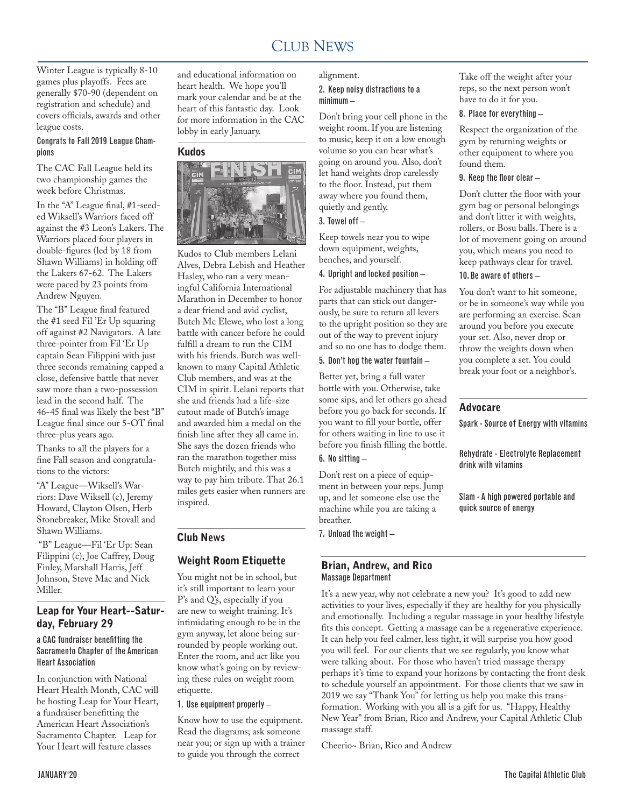#### CLUB NEWS 2000 FOR THE NEWS 2000 FOR THE NEWS 2000 FOR THE NEWS 2000 FOR THE NEWS 2000 FOR THE NEWS 2000 FOR THE NEWS 2000 FOR THE NEWS 2000 FOR THE NEWS 2000 FOR THE NEWS 2000 FOR THE NEWS 2000 FOR THE NEWS 2000 FOR THE N CLUB NEWS

Winter League is typically 8-10 games plus playoffs. Fees are generally \$70-90 (dependent on registration and schedule) and covers officials, awards and other league costs.

#### Congrats to Fall 2019 League Champions

The CAC Fall League held its two championship games the week before Christmas.

In the "A" League final, #1-seeded Wiksell's Warriors faced off against the #3 Leon's Lakers. The Warriors placed four players in double-figures (led by 18 from Shawn Williams) in holding off the Lakers 67-62. The Lakers were paced by 23 points from Andrew Nguyen.

The "B" League final featured the #1 seed Fil 'Er Up squaring off against #2 Navigators. A late three-pointer from Fil 'Er Up captain Sean Filippini with just three seconds remaining capped a close, defensive battle that never saw more than a two-possession lead in the second half. The 46-45 final was likely the best "B" League final since our 5-OT final three-plus years ago.

Thanks to all the players for a fine Fall season and congratulations to the victors:

"A" League—Wiksell's Warriors: Dave Wiksell (c), Jeremy Howard, Clayton Olsen, Herb Stonebreaker, Mike Stovall and Shawn Williams.

 "B" League—Fil 'Er Up: Sean Filippini (c), Joe Caffrey, Doug Finley, Marshall Harris, Jeff Johnson, Steve Mac and Nick Miller.

#### Leap for Your Heart--Saturday, February 29

#### a CAC fundraiser benefitting the Sacramento Chapter of the American Heart Association

In conjunction with National Heart Health Month, CAC will be hosting Leap for Your Heart, a fundraiser benefitting the American Heart Association's Sacramento Chapter. Leap for Your Heart will feature classes

and educational information on heart health. We hope you'll mark your calendar and be at the heart of this fantastic day. Look for more information in the CAC lobby in early January.

#### Kudos



Kudos to Club members Lelani Alves, Debra Lebish and Heather Hasley, who ran a very meaningful California International Marathon in December to honor a dear friend and avid cyclist, Butch Mc Elewe, who lost a long battle with cancer before he could fulfill a dream to run the CIM with his friends. Butch was wellknown to many Capital Athletic Club members, and was at the CIM in spirit. Lelani reports that she and friends had a life-size cutout made of Butch's image and awarded him a medal on the finish line after they all came in. She says the dozen friends who ran the marathon together miss Butch mightily, and this was a way to pay him tribute. That 26.1 miles gets easier when runners are inspired.

## Club News

# Weight Room Etiquette

You might not be in school, but it's still important to learn your P's and Q's, especially if you are new to weight training. It's intimidating enough to be in the gym anyway, let alone being surrounded by people working out. Enter the room, and act like you know what's going on by reviewing these rules on weight room etiquette.

#### 1. Use equipment properly –

Know how to use the equipment. Read the diagrams; ask someone near you; or sign up with a trainer to guide you through the correct

# alignment.

## 2. Keep noisy distractions to a minimum –

Don't bring your cell phone in the weight room. If you are listening to music, keep it on a low enough volume so you can hear what's going on around you. Also, don't let hand weights drop carelessly to the floor. Instead, put them away where you found them, quietly and gently.

#### 3. Towel off –

Keep towels near you to wipe down equipment, weights, benches, and yourself.

## 4. Upright and locked position –

For adjustable machinery that has parts that can stick out dangerously, be sure to return all levers to the upright position so they are out of the way to prevent injury and so no one has to dodge them.

#### 5. Don't hog the water fountain –

Better yet, bring a full water bottle with you. Otherwise, take some sips, and let others go ahead before you go back for seconds. If you want to fill your bottle, offer for others waiting in line to use it before you finish filling the bottle. 6. No sitting –

Don't rest on a piece of equipment in between your reps. Jump up, and let someone else use the machine while you are taking a breather.

7. Unload the weight –

#### Brian, Andrew, and Rico Massage Department

It's a new year, why not celebrate a new you? It's good to add new activities to your lives, especially if they are healthy for you physically and emotionally. Including a regular massage in your healthy lifestyle fits this concept. Getting a massage can be a regenerative experience. It can help you feel calmer, less tight, it will surprise you how good you will feel. For our clients that we see regularly, you know what were talking about. For those who haven't tried massage therapy perhaps it's time to expand your horizons by contacting the front desk to schedule yourself an appointment. For those clients that we saw in 2019 we say "Thank You" for letting us help you make this transformation. Working with you all is a gift for us. "Happy, Healthy New Year" from Brian, Rico and Andrew, your Capital Athletic Club massage staff.

Cheerio~ Brian, Rico and Andrew

Take off the weight after your reps, so the next person won't have to do it for you.

#### 8. Place for everything –

Respect the organization of the gym by returning weights or other equipment to where you found them.

#### 9. Keep the floor clear –

Don't clutter the floor with your gym bag or personal belongings and don't litter it with weights, rollers, or Bosu balls. There is a lot of movement going on around you, which means you need to keep pathways clear for travel.

10. Be aware of others –

You don't want to hit someone, or be in someone's way while you are performing an exercise. Scan around you before you execute your set. Also, never drop or throw the weights down when you complete a set. You could break your foot or a neighbor's.

## Advocare

Spark - Source of Energy with vitamins

Rehydrate - Electrolyte Replacement drink with vitamins

Slam - A high powered portable and quick source of energy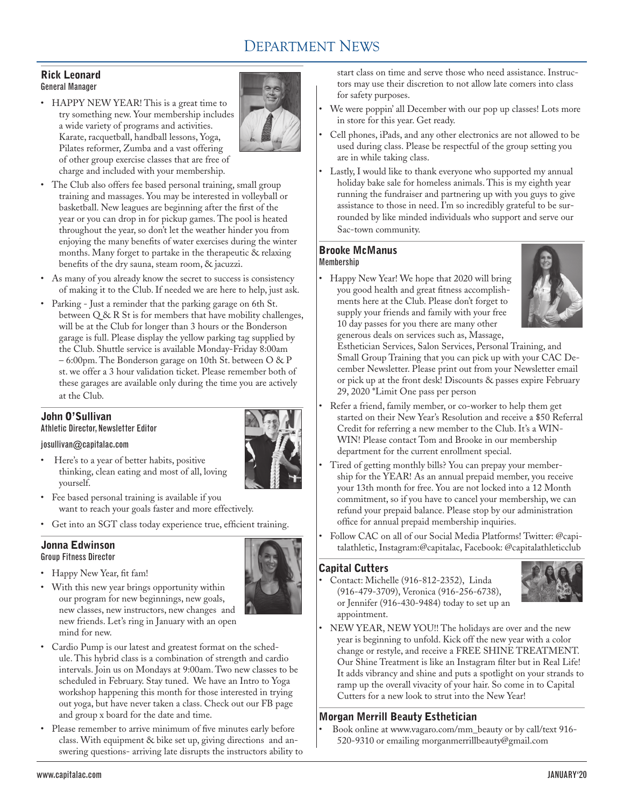# DEPARTMENT NEWS

# Rick Leonard General Manager

• HAPPY NEW YEAR! This is a great time to try something new. Your membership includes a wide variety of programs and activities. Karate, racquetball, handball lessons, Yoga, Pilates reformer, Zumba and a vast offering of other group exercise classes that are free of charge and included with your membership.



- • The Club also offers fee based personal training, small group training and massages. You may be interested in volleyball or basketball. New leagues are beginning after the first of the year or you can drop in for pickup games. The pool is heated throughout the year, so don't let the weather hinder you from enjoying the many benefits of water exercises during the winter months. Many forget to partake in the therapeutic & relaxing benefits of the dry sauna, steam room, & jacuzzi.
- As many of you already know the secret to success is consistency of making it to the Club. If needed we are here to help, just ask.
- • Parking Just a reminder that the parking garage on 6th St. between Q & R St is for members that have mobility challenges, will be at the Club for longer than 3 hours or the Bonderson garage is full. Please display the yellow parking tag supplied by the Club. Shuttle service is available Monday-Friday 8:00am – 6:00pm. The Bonderson garage on 10th St. between O & P st. we offer a 3 hour validation ticket. Please remember both of these garages are available only during the time you are actively at the Club.

# John O'Sullivan

Athletic Director, Newsletter Editor

# josullivan@capitalac.com

- Here's to a year of better habits, positive thinking, clean eating and most of all, loving yourself.
- • Fee based personal training is available if you want to reach your goals faster and more effectively.
- • Get into an SGT class today experience true, efficient training.

#### Jonna Edwinson Group Fitness Director

• Happy New Year, fit fam!



- • With this new year brings opportunity within our program for new beginnings, new goals, new classes, new instructors, new changes and new friends. Let's ring in January with an open mind for new.
- Cardio Pump is our latest and greatest format on the schedule. This hybrid class is a combination of strength and cardio intervals. Join us on Mondays at 9:00am. Two new classes to be scheduled in February. Stay tuned. We have an Intro to Yoga workshop happening this month for those interested in trying out yoga, but have never taken a class. Check out our FB page and group x board for the date and time.
- • Please remember to arrive minimum of five minutes early before class. With equipment & bike set up, giving directions and answering questions- arriving late disrupts the instructors ability to

start class on time and serve those who need assistance. Instructors may use their discretion to not allow late comers into class for safety purposes.

- We were poppin' all December with our pop up classes! Lots more in store for this year. Get ready.
- • Cell phones, iPads, and any other electronics are not allowed to be used during class. Please be respectful of the group setting you are in while taking class.
- Lastly, I would like to thank everyone who supported my annual holiday bake sale for homeless animals. This is my eighth year running the fundraiser and partnering up with you guys to give assistance to those in need. I'm so incredibly grateful to be surrounded by like minded individuals who support and serve our Sac-town community.

## Brooke McManus Membership

Happy New Year! We hope that 2020 will bring you good health and great fitness accomplishments here at the Club. Please don't forget to supply your friends and family with your free 10 day passes for you there are many other generous deals on services such as, Massage,



Esthetician Services, Salon Services, Personal Training, and Small Group Training that you can pick up with your CAC December Newsletter. Please print out from your Newsletter email or pick up at the front desk! Discounts & passes expire February 29, 2020 \*Limit One pass per person

- Refer a friend, family member, or co-worker to help them get started on their New Year's Resolution and receive a \$50 Referral Credit for referring a new member to the Club. It's a WIN-WIN! Please contact Tom and Brooke in our membership department for the current enrollment special.
- Tired of getting monthly bills? You can prepay your membership for the YEAR! As an annual prepaid member, you receive your 13th month for free. You are not locked into a 12 Month commitment, so if you have to cancel your membership, we can refund your prepaid balance. Please stop by our administration office for annual prepaid membership inquiries.
- Follow CAC on all of our Social Media Platforms! Twitter: @capitalathletic, Instagram:@capitalac, Facebook: @capitalathleticclub

# Capital Cutters

Contact: Michelle (916-812-2352), Linda (916-479-3709), Veronica (916-256-6738), or Jennifer (916-430-9484) today to set up an appointment.



• NEW YEAR, NEW YOU!! The holidays are over and the new year is beginning to unfold. Kick off the new year with a color change or restyle, and receive a FREE SHINE TREATMENT. Our Shine Treatment is like an Instagram filter but in Real Life! It adds vibrancy and shine and puts a spotlight on your strands to ramp up the overall vivacity of your hair. So come in to Capital Cutters for a new look to strut into the New Year!

# Morgan Merrill Beauty Esthetician

Book online at www.vagaro.com/mm\_beauty or by call/text 916-520-9310 or emailing morganmerrillbeauty@gmail.com